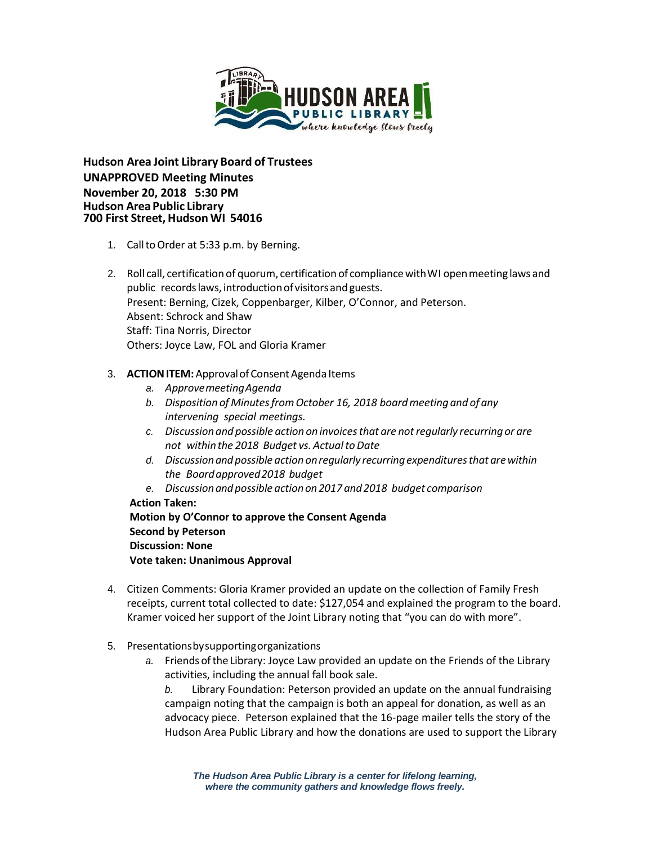

**Hudson Area Joint Library Board of Trustees UNAPPROVED Meeting Minutes November 20, 2018 5:30 PM Hudson Area Public Library 700 First Street, Hudson WI 54016**

- 1. CalltoOrder at 5:33 p.m. by Berning.
- 2. Roll call, certification of quorum, certification of compliancewithWI openmeeting laws and public records laws, introduction of visitors and guests. Present: Berning, Cizek, Coppenbarger, Kilber, O'Connor, and Peterson. Absent: Schrock and Shaw Staff: Tina Norris, Director Others: Joyce Law, FOL and Gloria Kramer

## 3. **ACTION ITEM:** Approval of Consent Agenda Items

- *a. ApprovemeetingAgenda*
- *b. Disposition of MinutesfromOctober 16, 2018 boardmeeting and of any intervening special meetings.*
- *c. Discussion and possible action on invoicesthat are notregularly recurring or are not* within the 2018 Budget vs. Actual to Date
- *d. Discussionand possible action onregularly recurringexpendituresthat arewithin the Boardapproved2018 budget*
- *e. Discussionand possible actionon2017 and2018 budget comparison*

## **Action Taken:**

**Motion by O'Connor to approve the Consent Agenda Second by Peterson Discussion: None Vote taken: Unanimous Approval**

- 4. Citizen Comments: Gloria Kramer provided an update on the collection of Family Fresh receipts, current total collected to date: \$127,054 and explained the program to the board. Kramer voiced her support of the Joint Library noting that "you can do with more".
- 5. Presentationsbysupportingorganizations
	- *a.* Friends oftheLibrary: Joyce Law provided an update on the Friends of the Library activities, including the annual fall book sale.

*b.* Library Foundation: Peterson provided an update on the annual fundraising campaign noting that the campaign is both an appeal for donation, as well as an advocacy piece. Peterson explained that the 16-page mailer tells the story of the Hudson Area Public Library and how the donations are used to support the Library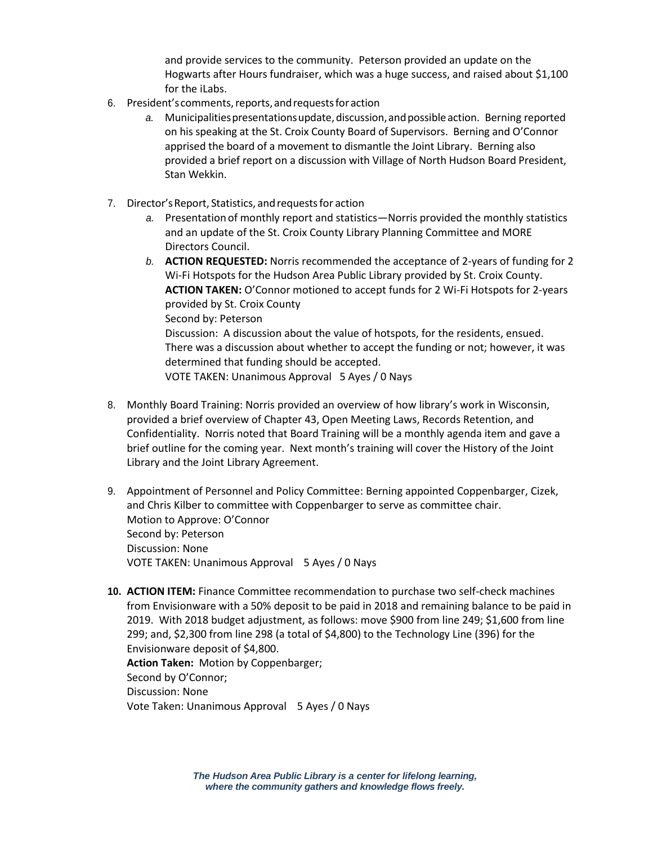and provide services to the community. Peterson provided an update on the Hogwarts after Hours fundraiser, which was a huge success, and raised about \$1,100 for the iLabs.

- 6. President's comments,reports,andrequestsforaction
	- a. Municipalities presentations update, discussion, and possible action. Berning reported on his speaking at the St. Croix County Board of Supervisors. Berning and O'Connor apprised the board of a movement to dismantle the Joint Library. Berning also provided a brief report on a discussion with Village of North Hudson Board President, Stan Wekkin.
- 7. Director's Report, Statistics, and requests for action
	- *a.* Presentation of monthly report and statistics—Norris provided the monthly statistics and an update of the St. Croix County Library Planning Committee and MORE Directors Council.
	- *b.* **ACTION REQUESTED:** Norris recommended the acceptance of 2-years of funding for 2 Wi-Fi Hotspots for the Hudson Area Public Library provided by St. Croix County. **ACTION TAKEN:** O'Connor motioned to accept funds for 2 Wi-Fi Hotspots for 2-years provided by St. Croix County Second by: Peterson Discussion: A discussion about the value of hotspots, for the residents, ensued. There was a discussion about whether to accept the funding or not; however, it was determined that funding should be accepted. VOTE TAKEN: Unanimous Approval 5 Ayes / 0 Nays
- 8. Monthly Board Training: Norris provided an overview of how library's work in Wisconsin, provided a brief overview of Chapter 43, Open Meeting Laws, Records Retention, and Confidentiality. Norris noted that Board Training will be a monthly agenda item and gave a brief outline for the coming year. Next month's training will cover the History of the Joint Library and the Joint Library Agreement.
- 9. Appointment of Personnel and Policy Committee: Berning appointed Coppenbarger, Cizek, and Chris Kilber to committee with Coppenbarger to serve as committee chair. Motion to Approve: O'Connor Second by: Peterson Discussion: None VOTE TAKEN: Unanimous Approval 5 Ayes / 0 Nays
- **10. ACTION ITEM:** Finance Committee recommendation to purchase two self-check machines from Envisionware with a 50% deposit to be paid in 2018 and remaining balance to be paid in 2019. With 2018 budget adjustment, as follows: move \$900 from line 249; \$1,600 from line 299; and, \$2,300 from line 298 (a total of \$4,800) to the Technology Line (396) for the Envisionware deposit of \$4,800. **Action Taken:** Motion by Coppenbarger; Second by O'Connor;

Discussion: None Vote Taken: Unanimous Approval 5 Ayes / 0 Nays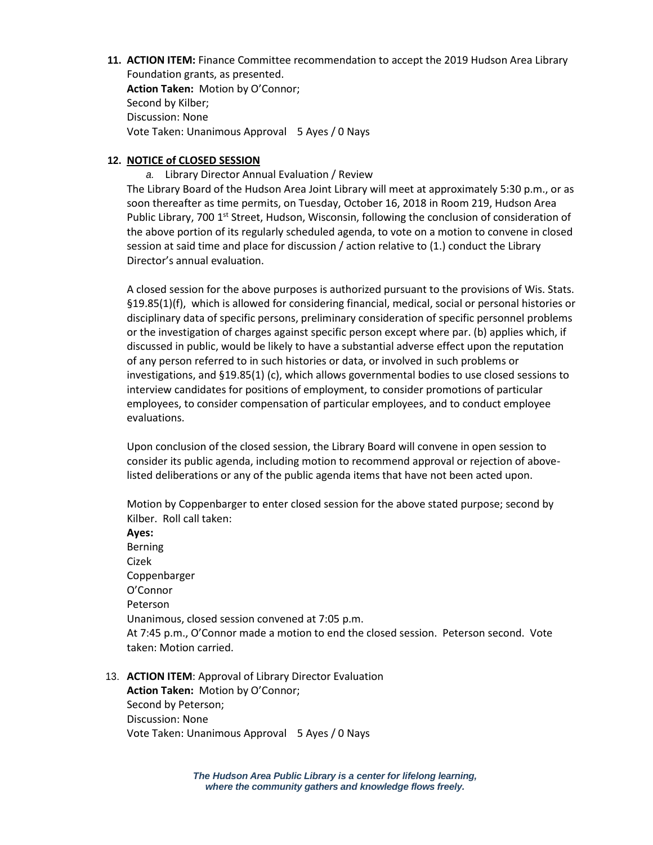**11. ACTION ITEM:** Finance Committee recommendation to accept the 2019 Hudson Area Library Foundation grants, as presented. **Action Taken:** Motion by O'Connor; Second by Kilber; Discussion: None

Vote Taken: Unanimous Approval 5 Ayes / 0 Nays

## **12. NOTICE of CLOSED SESSION**

*a.* Library Director Annual Evaluation / Review

The Library Board of the Hudson Area Joint Library will meet at approximately 5:30 p.m., or as soon thereafter as time permits, on Tuesday, October 16, 2018 in Room 219, Hudson Area Public Library, 700 1<sup>st</sup> Street, Hudson, Wisconsin, following the conclusion of consideration of the above portion of its regularly scheduled agenda, to vote on a motion to convene in closed session at said time and place for discussion / action relative to (1.) conduct the Library Director's annual evaluation.

A closed session for the above purposes is authorized pursuant to the provisions of Wis. Stats. §19.85(1)(f), which is allowed for considering financial, medical, social or personal histories or disciplinary data of specific persons, preliminary consideration of specific personnel problems or the investigation of charges against specific person except where par. (b) applies which, if discussed in public, would be likely to have a substantial adverse effect upon the reputation of any person referred to in such histories or data, or involved in such problems or investigations, and §19.85(1) (c), which allows governmental bodies to use closed sessions to interview candidates for positions of employment, to consider promotions of particular employees, to consider compensation of particular employees, and to conduct employee evaluations.

Upon conclusion of the closed session, the Library Board will convene in open session to consider its public agenda, including motion to recommend approval or rejection of abovelisted deliberations or any of the public agenda items that have not been acted upon.

Motion by Coppenbarger to enter closed session for the above stated purpose; second by Kilber. Roll call taken:

**Ayes:** Berning Cizek Coppenbarger O'Connor Peterson Unanimous, closed session convened at 7:05 p.m. At 7:45 p.m., O'Connor made a motion to end the closed session. Peterson second. Vote taken: Motion carried.

13. **ACTION ITEM**: Approval of Library Director Evaluation **Action Taken:** Motion by O'Connor; Second by Peterson; Discussion: None Vote Taken: Unanimous Approval 5 Ayes / 0 Nays

> *The Hudson Area Public Library is a center for lifelong learning, where the community gathers and knowledge flows freely.*